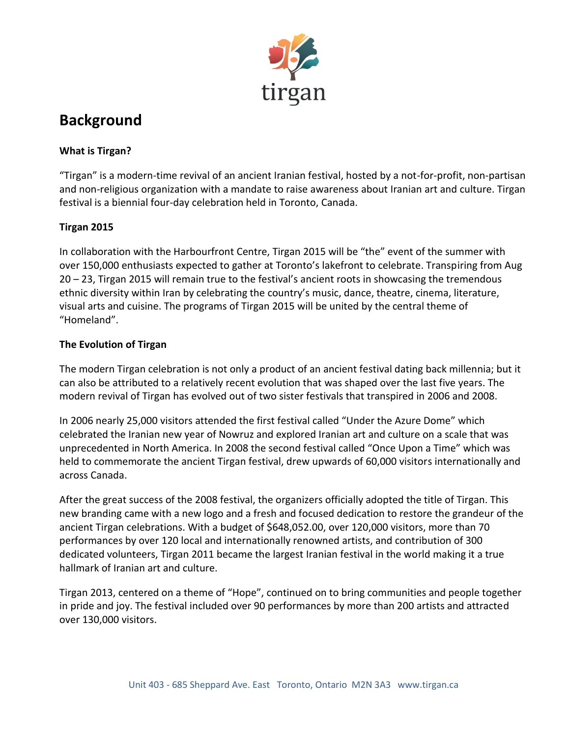

# **Background**

## **What is Tirgan?**

"Tirgan" is a modern-time revival of an ancient Iranian festival, hosted by a not-for-profit, non-partisan and non-religious organization with a mandate to raise awareness about Iranian art and culture. Tirgan festival is a biennial four-day celebration held in Toronto, Canada.

## **Tirgan 2015**

In collaboration with the Harbourfront Centre, Tirgan 2015 will be "the" event of the summer with over 150,000 enthusiasts expected to gather at Toronto's lakefront to celebrate. Transpiring from Aug 20 – 23, Tirgan 2015 will remain true to the festival's ancient roots in showcasing the tremendous ethnic diversity within Iran by celebrating the country's music, dance, theatre, cinema, literature, visual arts and cuisine. The programs of Tirgan 2015 will be united by the central theme of "Homeland".

#### **The Evolution of Tirgan**

The modern Tirgan celebration is not only a product of an ancient festival dating back millennia; but it can also be attributed to a relatively recent evolution that was shaped over the last five years. The modern revival of Tirgan has evolved out of two sister festivals that transpired in 2006 and 2008.

In 2006 nearly 25,000 visitors attended the first festival called "Under the Azure Dome" which celebrated the Iranian new year of Nowruz and explored Iranian art and culture on a scale that was unprecedented in North America. In 2008 the second festival called "Once Upon a Time" which was held to commemorate the ancient Tirgan festival, drew upwards of 60,000 visitors internationally and across Canada.

After the great success of the 2008 festival, the organizers officially adopted the title of Tirgan. This new branding came with a new logo and a fresh and focused dedication to restore the grandeur of the ancient Tirgan celebrations. With a budget of \$648,052.00, over 120,000 visitors, more than 70 performances by over 120 local and internationally renowned artists, and contribution of 300 dedicated volunteers, Tirgan 2011 became the largest Iranian festival in the world making it a true hallmark of Iranian art and culture.

Tirgan 2013, centered on a theme of "Hope", continued on to bring communities and people together in pride and joy. The festival included over 90 performances by more than 200 artists and attracted over 130,000 visitors.